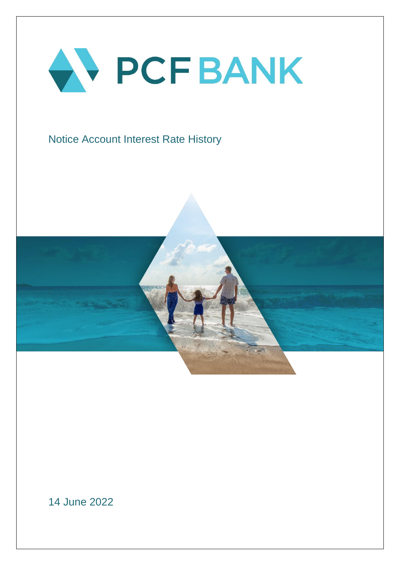

## Notice Account Interest Rate History



14 June 2022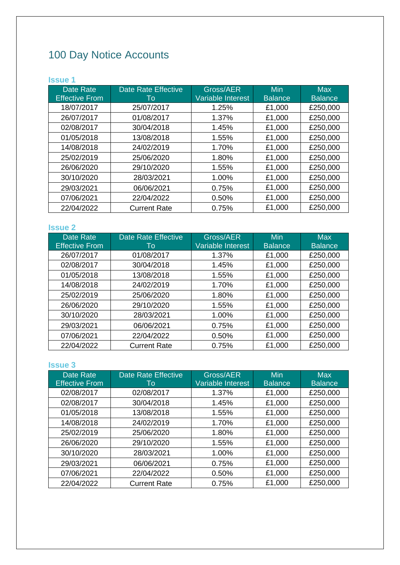# 100 Day Notice Accounts

## **Issue 1**

| <b>Date Rate</b><br><b>Effective From</b> | <b>Date Rate Effective</b><br>Τo | Gross/AER<br>Variable Interest | <b>Min</b><br><b>Balance</b> | <b>Max</b><br><b>Balance</b> |
|-------------------------------------------|----------------------------------|--------------------------------|------------------------------|------------------------------|
| 18/07/2017                                | 25/07/2017                       | 1.25%                          | £1,000                       | £250,000                     |
| 26/07/2017                                | 01/08/2017                       | 1.37%                          | £1,000                       | £250,000                     |
| 02/08/2017                                | 30/04/2018                       | 1.45%                          | £1,000                       | £250,000                     |
| 01/05/2018                                | 13/08/2018                       | 1.55%                          | £1,000                       | £250,000                     |
| 14/08/2018                                | 24/02/2019                       | 1.70%                          | £1,000                       | £250,000                     |
| 25/02/2019                                | 25/06/2020                       | 1.80%                          | £1,000                       | £250,000                     |
| 26/06/2020                                | 29/10/2020                       | 1.55%                          | £1,000                       | £250,000                     |
| 30/10/2020                                | 28/03/2021                       | 1.00%                          | £1,000                       | £250,000                     |
| 29/03/2021                                | 06/06/2021                       | 0.75%                          | £1,000                       | £250,000                     |
| 07/06/2021                                | 22/04/2022                       | 0.50%                          | £1,000                       | £250,000                     |
| 22/04/2022                                | <b>Current Rate</b>              | 0.75%                          | £1,000                       | £250,000                     |

## **Issue 2**

| Date Rate<br><b>Effective From</b> | <b>Date Rate Effective</b><br>To | Gross/AER<br>Variable Interest | Min<br><b>Balance</b> | <b>Max</b><br><b>Balance</b> |
|------------------------------------|----------------------------------|--------------------------------|-----------------------|------------------------------|
|                                    |                                  |                                |                       |                              |
| 26/07/2017                         | 01/08/2017                       | 1.37%                          | £1,000                | £250,000                     |
| 02/08/2017                         | 30/04/2018                       | 1.45%                          | £1,000                | £250,000                     |
| 01/05/2018                         | 13/08/2018                       | 1.55%                          | £1,000                | £250,000                     |
| 14/08/2018                         | 24/02/2019                       | 1.70%                          | £1,000                | £250,000                     |
| 25/02/2019                         | 25/06/2020                       | 1.80%                          | £1,000                | £250,000                     |
| 26/06/2020                         | 29/10/2020                       | 1.55%                          | £1,000                | £250,000                     |
| 30/10/2020                         | 28/03/2021                       | 1.00%                          | £1,000                | £250,000                     |
| 29/03/2021                         | 06/06/2021                       | 0.75%                          | £1,000                | £250,000                     |
| 07/06/2021                         | 22/04/2022                       | 0.50%                          | £1,000                | £250,000                     |
| 22/04/2022                         | <b>Current Rate</b>              | 0.75%                          | £1,000                | £250,000                     |

| Date Rate<br><b>Effective From</b> | <b>Date Rate Effective</b><br>Τo | Gross/AER<br>Variable Interest | <b>Min</b><br><b>Balance</b> | Max<br><b>Balance</b> |
|------------------------------------|----------------------------------|--------------------------------|------------------------------|-----------------------|
| 02/08/2017                         | 02/08/2017                       | 1.37%                          | £1,000                       | £250,000              |
| 02/08/2017                         | 30/04/2018                       | 1.45%                          | £1,000                       | £250,000              |
| 01/05/2018                         | 13/08/2018                       | 1.55%                          | £1,000                       | £250,000              |
| 14/08/2018                         | 24/02/2019                       | 1.70%                          | £1,000                       | £250,000              |
| 25/02/2019                         | 25/06/2020                       | 1.80%                          | £1,000                       | £250,000              |
| 26/06/2020                         | 29/10/2020                       | 1.55%                          | £1,000                       | £250,000              |
| 30/10/2020                         | 28/03/2021                       | 1.00%                          | £1,000                       | £250,000              |
| 29/03/2021                         | 06/06/2021                       | 0.75%                          | £1,000                       | £250,000              |
| 07/06/2021                         | 22/04/2022                       | 0.50%                          | £1,000                       | £250,000              |
| 22/04/2022                         | <b>Current Rate</b>              | 0.75%                          | £1,000                       | £250,000              |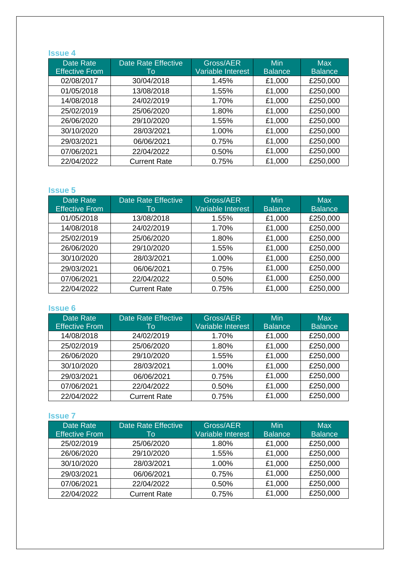## **Issue 4**

| Date Rate             | <b>Date Rate Effective</b> | Gross/AER         | Min            | <b>Max</b>     |
|-----------------------|----------------------------|-------------------|----------------|----------------|
| <b>Effective From</b> | Τo                         | Variable Interest | <b>Balance</b> | <b>Balance</b> |
| 02/08/2017            | 30/04/2018                 | 1.45%             | £1,000         | £250,000       |
| 01/05/2018            | 13/08/2018                 | 1.55%             | £1,000         | £250,000       |
| 14/08/2018            | 24/02/2019                 | 1.70%             | £1,000         | £250,000       |
| 25/02/2019            | 25/06/2020                 | 1.80%             | £1,000         | £250,000       |
| 26/06/2020            | 29/10/2020                 | 1.55%             | £1,000         | £250,000       |
| 30/10/2020            | 28/03/2021                 | 1.00%             | £1,000         | £250,000       |
| 29/03/2021            | 06/06/2021                 | 0.75%             | £1,000         | £250,000       |
| 07/06/2021            | 22/04/2022                 | 0.50%             | £1,000         | £250,000       |
| 22/04/2022            | <b>Current Rate</b>        | 0.75%             | £1,000         | £250,000       |

## **Issue 5**

| Date Rate<br><b>Effective From</b> | <b>Date Rate Effective</b><br>To | Gross/AER<br>Variable Interest | <b>Min</b><br><b>Balance</b> | <b>Max</b><br><b>Balance</b> |
|------------------------------------|----------------------------------|--------------------------------|------------------------------|------------------------------|
| 01/05/2018                         | 13/08/2018                       | 1.55%                          | £1,000                       | £250,000                     |
| 14/08/2018                         | 24/02/2019                       | 1.70%                          | £1,000                       | £250,000                     |
| 25/02/2019                         | 25/06/2020                       | 1.80%                          | £1,000                       | £250,000                     |
| 26/06/2020                         | 29/10/2020                       | 1.55%                          | £1,000                       | £250,000                     |
| 30/10/2020                         | 28/03/2021                       | 1.00%                          | £1,000                       | £250,000                     |
| 29/03/2021                         | 06/06/2021                       | 0.75%                          | £1,000                       | £250,000                     |
| 07/06/2021                         | 22/04/2022                       | 0.50%                          | £1,000                       | £250,000                     |
| 22/04/2022                         | <b>Current Rate</b>              | 0.75%                          | £1,000                       | £250,000                     |

#### **Issue 6**

| Date Rate             | <b>Date Rate Effective</b> | Gross/AER         | Min            | Max            |
|-----------------------|----------------------------|-------------------|----------------|----------------|
| <b>Effective From</b> | To                         | Variable Interest | <b>Balance</b> | <b>Balance</b> |
| 14/08/2018            | 24/02/2019                 | 1.70%             | £1,000         | £250,000       |
| 25/02/2019            | 25/06/2020                 | 1.80%             | £1,000         | £250,000       |
| 26/06/2020            | 29/10/2020                 | 1.55%             | £1,000         | £250,000       |
| 30/10/2020            | 28/03/2021                 | 1.00%             | £1,000         | £250,000       |
| 29/03/2021            | 06/06/2021                 | 0.75%             | £1,000         | £250,000       |
| 07/06/2021            | 22/04/2022                 | 0.50%             | £1,000         | £250,000       |
| 22/04/2022            | <b>Current Rate</b>        | 0.75%             | £1,000         | £250,000       |

| Date Rate<br><b>Effective From</b> | <b>Date Rate Effective</b><br>To | Gross/AER<br>Variable Interest | Min<br><b>Balance</b> | Max<br><b>Balance</b> |
|------------------------------------|----------------------------------|--------------------------------|-----------------------|-----------------------|
| 25/02/2019                         | 25/06/2020                       | 1.80%                          | £1,000                | £250,000              |
| 26/06/2020                         | 29/10/2020                       | 1.55%                          | £1,000                | £250,000              |
| 30/10/2020                         | 28/03/2021                       | 1.00%                          | £1,000                | £250,000              |
| 29/03/2021                         | 06/06/2021                       | 0.75%                          | £1,000                | £250,000              |
| 07/06/2021                         | 22/04/2022                       | 0.50%                          | £1,000                | £250,000              |
| 22/04/2022                         | <b>Current Rate</b>              | 0.75%                          | £1,000                | £250,000              |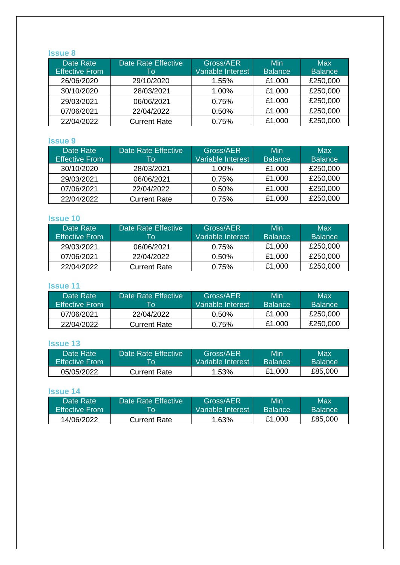## **Issue 8**

| Date Rate<br><b>Effective From</b> | <b>Date Rate Effective</b><br>To | Gross/AER<br>Variable Interest | Min<br><b>Balance</b> | Max<br><b>Balance</b> |
|------------------------------------|----------------------------------|--------------------------------|-----------------------|-----------------------|
| 26/06/2020                         | 29/10/2020                       | 1.55%                          | £1,000                | £250,000              |
| 30/10/2020                         | 28/03/2021                       | 1.00%                          | £1,000                | £250,000              |
| 29/03/2021                         | 06/06/2021                       | 0.75%                          | £1,000                | £250,000              |
| 07/06/2021                         | 22/04/2022                       | 0.50%                          | £1,000                | £250,000              |
| 22/04/2022                         | <b>Current Rate</b>              | 0.75%                          | £1,000                | £250,000              |

#### **Issue 9**

| Date Rate<br><b>Effective From</b> | Date Rate Effective<br>To | Gross/AER<br>Variable Interest | Min.<br><b>Balance</b> | Max<br><b>Balance</b> |
|------------------------------------|---------------------------|--------------------------------|------------------------|-----------------------|
| 30/10/2020                         | 28/03/2021                | $1.00\%$                       | £1,000                 | £250,000              |
| 29/03/2021                         | 06/06/2021                | 0.75%                          | £1,000                 | £250,000              |
| 07/06/2021                         | 22/04/2022                | 0.50%                          | £1,000                 | £250,000              |
| 22/04/2022                         | <b>Current Rate</b>       | 0.75%                          | £1,000                 | £250,000              |

## **Issue 10**

| 'Date Rate i<br><b>Effective From</b> | Date Rate Effective<br>Tо | Gross/AER<br>Variable Interest | Min<br><b>Balance</b> | Max<br><b>Balance</b> |
|---------------------------------------|---------------------------|--------------------------------|-----------------------|-----------------------|
| 29/03/2021                            | 06/06/2021                | 0.75%                          | £1,000                | £250,000              |
| 07/06/2021                            | 22/04/2022                | $0.50\%$                       | £1,000                | £250,000              |
| 22/04/2022                            | <b>Current Rate</b>       | 0.75%                          | £1,000                | £250,000              |

#### **Issue 11**

| Date Rate<br><b>Effective From</b> | ∣Date Rate Effective '<br>TO. | Gross/AER<br>'Variable <sup>-</sup> Interest. | Min<br><b>Balance</b> | Max<br><b>Balance</b> |
|------------------------------------|-------------------------------|-----------------------------------------------|-----------------------|-----------------------|
| 07/06/2021                         | 22/04/2022                    | $0.50\%$                                      | £1,000                | £250,000              |
| 22/04/2022                         | <b>Current Rate</b>           | 0.75%                                         | £1,000                | £250,000              |

## **Issue 13**

| Date Rate             | Date Rate Effective \ | Gross/AER         | Min            | Max            |
|-----------------------|-----------------------|-------------------|----------------|----------------|
| <b>Effective From</b> | Гo                    | Variable Interest | <b>Balance</b> | <b>Balance</b> |
| 05/05/2022            | Current Rate          | 1.53%             | £1,000         | £85,000        |

| Date Rate             | Date Rate Effective | Gross/AER         | Min            | Max            |
|-----------------------|---------------------|-------------------|----------------|----------------|
| <b>Effective From</b> | l o                 | Variable Interest | <b>Balance</b> | <b>Balance</b> |
| 14/06/2022            | Current Rate        | 1.63%             | £1,000         | £85,000        |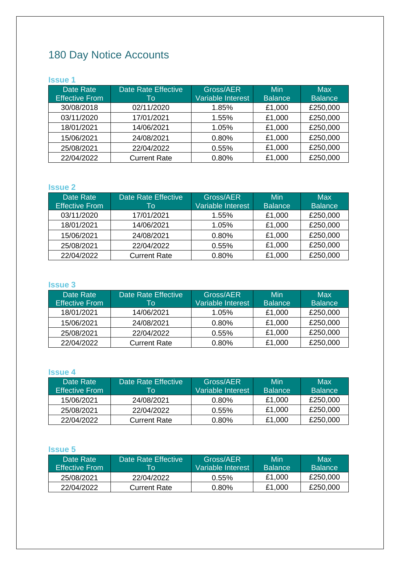## 180 Day Notice Accounts

## **Issue 1**

| Date Rate<br><b>Effective From</b> | Date Rate Effective<br>To | Gross/AER<br>Variable Interest | Min<br><b>Balance</b> | Max<br>Balance |
|------------------------------------|---------------------------|--------------------------------|-----------------------|----------------|
| 30/08/2018                         | 02/11/2020                | 1.85%                          | £1,000                | £250,000       |
| 03/11/2020                         | 17/01/2021                | 1.55%                          | £1,000                | £250,000       |
| 18/01/2021                         | 14/06/2021                | 1.05%                          | £1,000                | £250,000       |
| 15/06/2021                         | 24/08/2021                | 0.80%                          | £1,000                | £250,000       |
| 25/08/2021                         | 22/04/2022                | 0.55%                          | £1,000                | £250,000       |
| 22/04/2022                         | <b>Current Rate</b>       | 0.80%                          | £1,000                | £250,000       |

## **Issue 2**

| Date Rate<br><b>Effective From</b> | <b>Date Rate Effective</b><br>To | Gross/AER<br>Variable Interest | Min<br><b>Balance</b> | Max<br><b>Balance</b> |
|------------------------------------|----------------------------------|--------------------------------|-----------------------|-----------------------|
| 03/11/2020                         | 17/01/2021                       | 1.55%                          | £1,000                | £250,000              |
| 18/01/2021                         | 14/06/2021                       | 1.05%                          | £1,000                | £250,000              |
| 15/06/2021                         | 24/08/2021                       | 0.80%                          | £1,000                | £250,000              |
| 25/08/2021                         | 22/04/2022                       | 0.55%                          | £1,000                | £250,000              |
| 22/04/2022                         | <b>Current Rate</b>              | 0.80%                          | £1,000                | £250,000              |

## **Issue 3**

| Date Rate<br><b>Effective From</b> | Date Rate Effective<br>To | Gross/AER<br>Variable Interest | Min<br>Balance | Max<br><b>Balance</b> |
|------------------------------------|---------------------------|--------------------------------|----------------|-----------------------|
| 18/01/2021                         | 14/06/2021                | $1.05\%$                       | £1,000         | £250,000              |
| 15/06/2021                         | 24/08/2021                | 0.80%                          | £1,000         | £250,000              |
| 25/08/2021                         | 22/04/2022                | 0.55%                          | £1,000         | £250,000              |
| 22/04/2022                         | <b>Current Rate</b>       | 0.80%                          | £1,000         | £250,000              |

## **Issue 4**

| Date Rate<br><b>Effective From</b> | Date Rate Effective<br>Tо | Gross/AER<br>Variable Interest | Min<br><b>Balance</b> | Max<br><b>Balance</b> |
|------------------------------------|---------------------------|--------------------------------|-----------------------|-----------------------|
|                                    |                           |                                |                       |                       |
| 15/06/2021                         | 24/08/2021                | $0.80\%$                       | £1,000                | £250,000              |
| 25/08/2021                         | 22/04/2022                | $0.55\%$                       | £1,000                | £250,000              |
| 22/04/2022                         | <b>Current Rate</b>       | $0.80\%$                       | £1,000                | £250,000              |

| Date Rate<br><b>Effective From</b> | Date Rate Effective \<br>l o | Gross/AER<br>Variable Interest | Min<br><b>Balance</b> | Max<br><b>Balance</b> |
|------------------------------------|------------------------------|--------------------------------|-----------------------|-----------------------|
| 25/08/2021                         | 22/04/2022                   | $0.55\%$                       | £1.000                | £250,000              |
| 22/04/2022                         | <b>Current Rate</b>          | $0.80\%$                       | £1,000                | £250,000              |